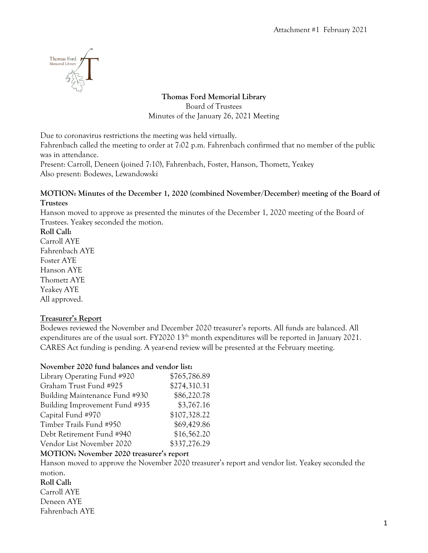

### **Thomas Ford Memorial Library** Board of Trustees Minutes of the January 26, 2021 Meeting

Due to coronavirus restrictions the meeting was held virtually.

Fahrenbach called the meeting to order at 7:02 p.m. Fahrenbach confirmed that no member of the public was in attendance.

Present: Carroll, Deneen (joined 7:10), Fahrenbach, Foster, Hanson, Thometz, Yeakey Also present: Bodewes, Lewandowski

#### **MOTION: Minutes of the December 1, 2020 (combined November/December) meeting of the Board of Trustees**

Hanson moved to approve as presented the minutes of the December 1, 2020 meeting of the Board of Trustees. Yeakey seconded the motion.

**Roll Call:**

Carroll AYE Fahrenbach AYE Foster AYE Hanson AYE Thometz AYE Yeakey AYE All approved.

# **Treasurer's Report**

Bodewes reviewed the November and December 2020 treasurer's reports. All funds are balanced. All expenditures are of the usual sort. FY2020  $13<sup>th</sup>$  month expenditures will be reported in January 2021. CARES Act funding is pending. A year-end review will be presented at the February meeting.

# **November 2020 fund balances and vendor list:**

| Library Operating Fund #920    | \$765,786.89 |
|--------------------------------|--------------|
| Graham Trust Fund #925         | \$274,310.31 |
| Building Maintenance Fund #930 | \$86,220.78  |
| Building Improvement Fund #935 | \$3,767.16   |
| Capital Fund #970              | \$107,328.22 |
| Timber Trails Fund #950        | \$69,429.86  |
| Debt Retirement Fund #940      | \$16,562.20  |
| Vendor List November 2020      | \$337,276.29 |

### **MOTION: November 2020 treasurer's report**

Hanson moved to approve the November 2020 treasurer's report and vendor list. Yeakey seconded the motion. **Roll Call:** Carroll AYE

Deneen AYE Fahrenbach AYE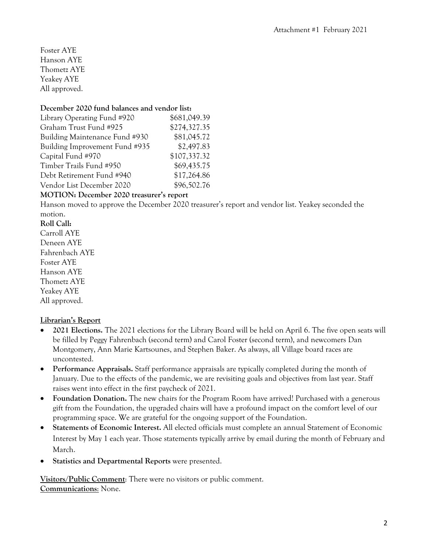Foster AYE Hanson AYE Thometz AYE Yeakey AYE All approved.

#### **December 2020 fund balances and vendor list:**

| \$681,049.39 |
|--------------|
| \$274,327.35 |
| \$81,045.72  |
| \$2,497.83   |
| \$107,337.32 |
| \$69,435.75  |
| \$17,264.86  |
| \$96,502.76  |
|              |

#### **MOTION: December 2020 treasurer's report**

Hanson moved to approve the December 2020 treasurer's report and vendor list. Yeakey seconded the motion.

#### **Roll Call:**

Carroll AYE Deneen AYE Fahrenbach AYE Foster AYE Hanson AYE Thometz AYE Yeakey AYE All approved.

### **Librarian's Report**

- **2021 Elections.** The 2021 elections for the Library Board will be held on April 6. The five open seats will be filled by Peggy Fahrenbach (second term) and Carol Foster (second term), and newcomers Dan Montgomery, Ann Marie Kartsounes, and Stephen Baker. As always, all Village board races are uncontested.
- **Performance Appraisals.** Staff performance appraisals are typically completed during the month of January. Due to the effects of the pandemic, we are revisiting goals and objectives from last year. Staff raises went into effect in the first paycheck of 2021.
- **Foundation Donation.** The new chairs for the Program Room have arrived! Purchased with a generous gift from the Foundation, the upgraded chairs will have a profound impact on the comfort level of our programming space. We are grateful for the ongoing support of the Foundation.
- **Statements of Economic Interest.** All elected officials must complete an annual Statement of Economic Interest by May 1 each year. Those statements typically arrive by email during the month of February and March.
- **Statistics and Departmental Reports** were presented.

**Visitors/Public Comment**: There were no visitors or public comment. **Communications**: None.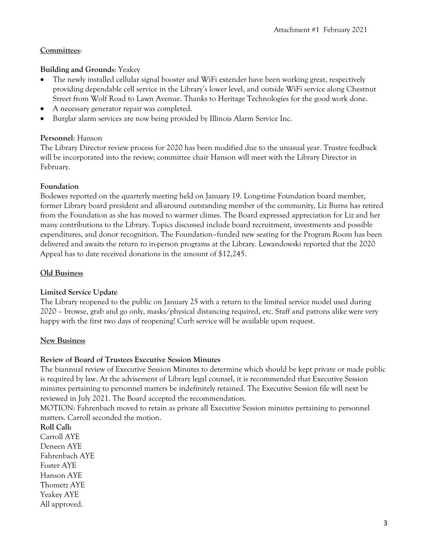### **Committees**:

### **Building and Grounds**: Yeakey

- The newly installed cellular signal booster and WiFi extender have been working great, respectively providing dependable cell service in the Library's lower level, and outside WiFi service along Chestnut Street from Wolf Road to Lawn Avenue. Thanks to Heritage Technologies for the good work done.
- A necessary generator repair was completed.
- Burglar alarm services are now being provided by Illinois Alarm Service Inc.

#### **Personnel**: Hanson

The Library Director review process for 2020 has been modified due to the unusual year. Trustee feedback will be incorporated into the review; committee chair Hanson will meet with the Library Director in February.

#### **Foundation**

Bodewes reported on the quarterly meeting held on January 19. Long-time Foundation board member, former Library board president and all-around outstanding member of the community, Liz Burns has retired from the Foundation as she has moved to warmer climes. The Board expressed appreciation for Liz and her many contributions to the Library. Topics discussed include board recruitment, investments and possible expenditures, and donor recognition. The Foundation–funded new seating for the Program Room has been delivered and awaits the return to in-person programs at the Library. Lewandowski reported that the 2020 Appeal has to date received donations in the amount of \$12,245.

### **Old Business**

### **Limited Service Update**

The Library reopened to the public on January 25 with a return to the limited service model used during 2020 – browse, grab and go only, masks/physical distancing required, etc. Staff and patrons alike were very happy with the first two days of reopening! Curb service will be available upon request.

#### **New Business**

#### **Review of Board of Trustees Executive Session Minutes**

The biannual review of Executive Session Minutes to determine which should be kept private or made public is required by law. At the advisement of Library legal counsel, it is recommended that Executive Session minutes pertaining to personnel matters be indefinitely retained. The Executive Session file will next be reviewed in July 2021. The Board accepted the recommendation.

MOTION: Fahrenbach moved to retain as private all Executive Session minutes pertaining to personnel matters. Carroll seconded the motion.

**Roll Call:** Carroll AYE Deneen AYE Fahrenbach AYE Foster AYE Hanson AYE Thometz AYE Yeakey AYE All approved.